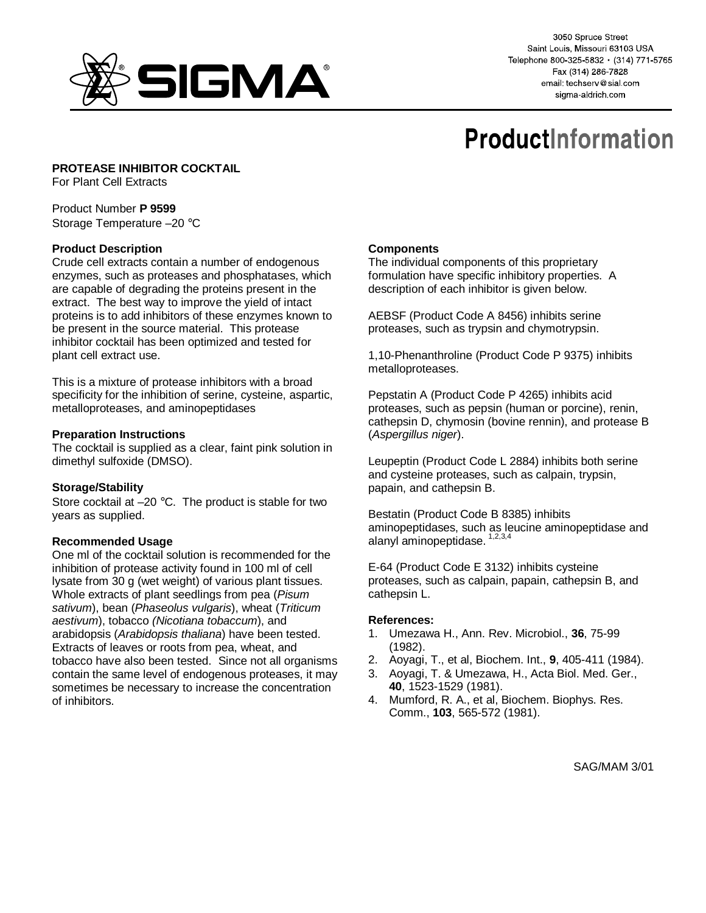

3050 Spruce Street Saint Louis, Missouri 63103 USA Telephone 800-325-5832 · (314) 771-5765 Fax (314) 286-7828 email: techserv@sial.com sigma-aldrich com

# **ProductInformation**

# **PROTEASE INHIBITOR COCKTAIL**

For Plant Cell Extracts

#### Product Number **P 9599** Storage Temperature –20 °C

## **Product Description**

Crude cell extracts contain a number of endogenous enzymes, such as proteases and phosphatases, which are capable of degrading the proteins present in the extract. The best way to improve the yield of intact proteins is to add inhibitors of these enzymes known to be present in the source material. This protease inhibitor cocktail has been optimized and tested for plant cell extract use.

This is a mixture of protease inhibitors with a broad specificity for the inhibition of serine, cysteine, aspartic, metalloproteases, and aminopeptidases

#### **Preparation Instructions**

The cocktail is supplied as a clear, faint pink solution in dimethyl sulfoxide (DMSO).

## **Storage/Stability**

Store cocktail at  $-20$  °C. The product is stable for two years as supplied.

#### **Recommended Usage**

One ml of the cocktail solution is recommended for the inhibition of protease activity found in 100 ml of cell lysate from 30 g (wet weight) of various plant tissues. Whole extracts of plant seedlings from pea (Pisum sativum), bean (Phaseolus vulgaris), wheat (Triticum aestivum), tobacco (Nicotiana tobaccum), and arabidopsis (Arabidopsis thaliana) have been tested. Extracts of leaves or roots from pea, wheat, and tobacco have also been tested. Since not all organisms contain the same level of endogenous proteases, it may sometimes be necessary to increase the concentration of inhibitors.

#### **Components**

The individual components of this proprietary formulation have specific inhibitory properties. A description of each inhibitor is given below.

AEBSF (Product Code A 8456) inhibits serine proteases, such as trypsin and chymotrypsin.

1,10-Phenanthroline (Product Code P 9375) inhibits metalloproteases.

Pepstatin A (Product Code P 4265) inhibits acid proteases, such as pepsin (human or porcine), renin, cathepsin D, chymosin (bovine rennin), and protease B (Aspergillus niger).

Leupeptin (Product Code L 2884) inhibits both serine and cysteine proteases, such as calpain, trypsin, papain, and cathepsin B.

Bestatin (Product Code B 8385) inhibits aminopeptidases, such as leucine aminopeptidase and alanyl aminopeptidase. 1,2,3,4

E-64 (Product Code E 3132) inhibits cysteine proteases, such as calpain, papain, cathepsin B, and cathepsin L.

#### **References:**

- 1. Umezawa H., Ann. Rev. Microbiol., **36**, 75-99 (1982).
- 2. Aoyagi, T., et al, Biochem. Int., **9**, 405-411 (1984).
- 3. Aoyagi, T. & Umezawa, H., Acta Biol. Med. Ger., **40**, 1523-1529 (1981).
- 4. Mumford, R. A., et al, Biochem. Biophys. Res. Comm., **103**, 565-572 (1981).

SAG/MAM 3/01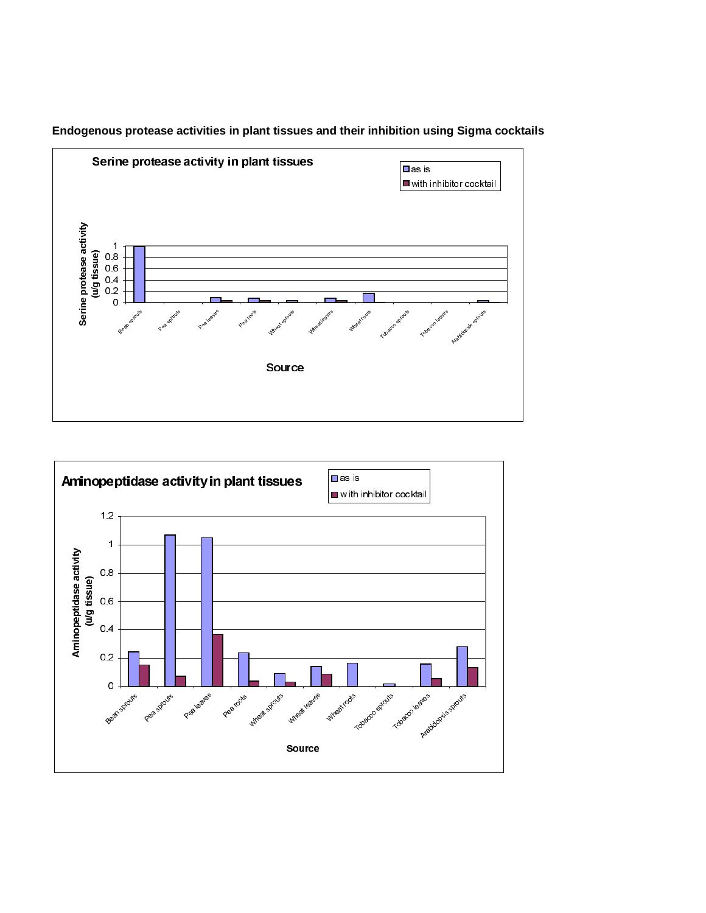

# **Endogenous protease activities in plant tissues and their inhibition using Sigma cocktails**

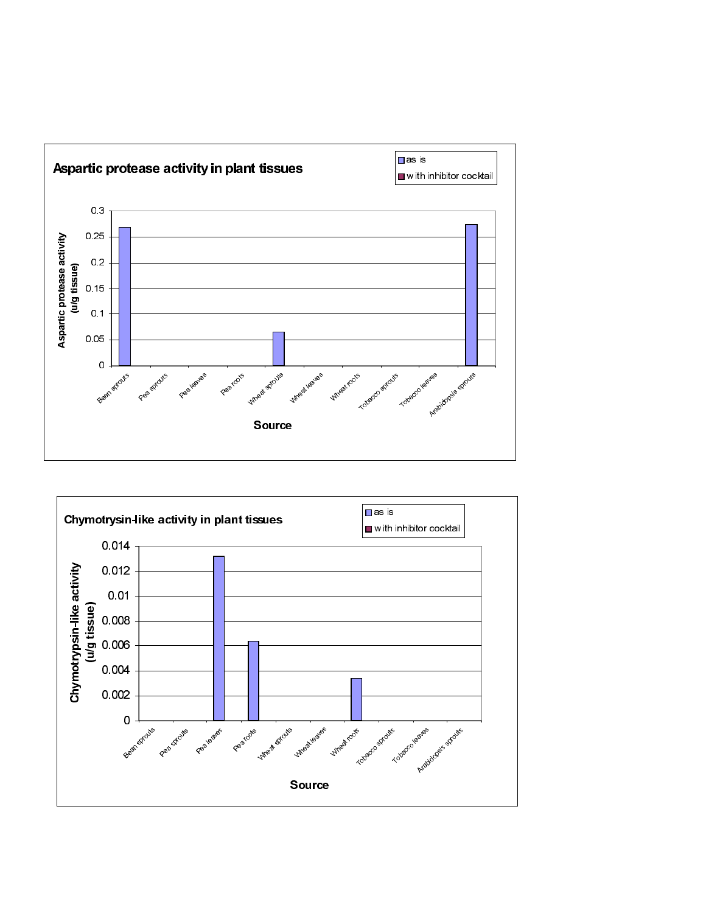